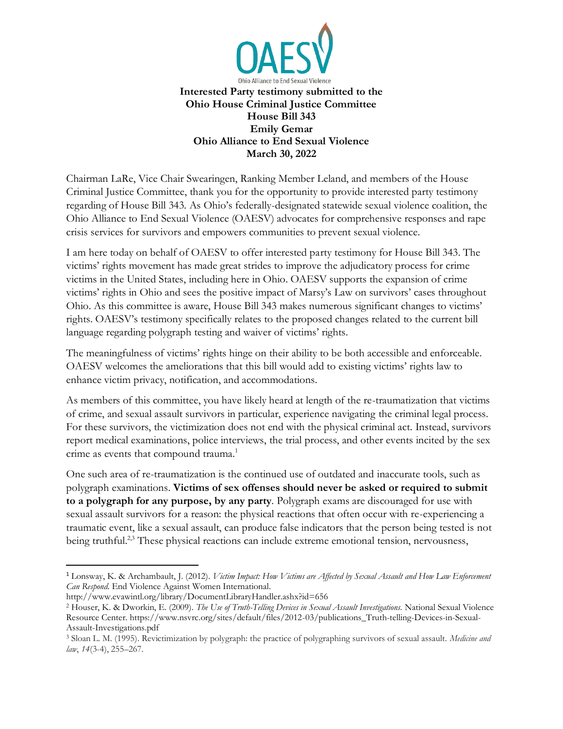

Chairman LaRe, Vice Chair Swearingen, Ranking Member Leland, and members of the House Criminal Justice Committee, thank you for the opportunity to provide interested party testimony regarding of House Bill 343. As Ohio's federally-designated statewide sexual violence coalition, the Ohio Alliance to End Sexual Violence (OAESV) advocates for comprehensive responses and rape crisis services for survivors and empowers communities to prevent sexual violence.

I am here today on behalf of OAESV to offer interested party testimony for House Bill 343. The victims' rights movement has made great strides to improve the adjudicatory process for crime victims in the United States, including here in Ohio. OAESV supports the expansion of crime victims' rights in Ohio and sees the positive impact of Marsy's Law on survivors' cases throughout Ohio. As this committee is aware, House Bill 343 makes numerous significant changes to victims' rights. OAESV's testimony specifically relates to the proposed changes related to the current bill language regarding polygraph testing and waiver of victims' rights.

The meaningfulness of victims' rights hinge on their ability to be both accessible and enforceable. OAESV welcomes the ameliorations that this bill would add to existing victims' rights law to enhance victim privacy, notification, and accommodations.

As members of this committee, you have likely heard at length of the re-traumatization that victims of crime, and sexual assault survivors in particular, experience navigating the criminal legal process. For these survivors, the victimization does not end with the physical criminal act. Instead, survivors report medical examinations, police interviews, the trial process, and other events incited by the sex crime as events that compound trauma.<sup>1</sup>

One such area of re-traumatization is the continued use of outdated and inaccurate tools, such as polygraph examinations. **Victims of sex offenses should never be asked or required to submit to a polygraph for any purpose, by any party**. Polygraph exams are discouraged for use with sexual assault survivors for a reason: the physical reactions that often occur with re-experiencing a traumatic event, like a sexual assault, can produce false indicators that the person being tested is not being truthful.<sup>2,3</sup> These physical reactions can include extreme emotional tension, nervousness,

<sup>1</sup> Lonsway, K. & Archambault, J. (2012). *Victim Impact: How Victims are Affected by Sexual Assault and How Law Enforcement Can Respond*. End Violence Against Women International.

http://www.evawintl.org/library/DocumentLibraryHandler.ashx?id=656

<sup>2</sup> Houser, K. & Dworkin, E. (2009). *The Use of Truth-Telling Devices in Sexual Assault Investigations.* National Sexual Violence Resource Center. https://www.nsvrc.org/sites/default/files/2012-03/publications\_Truth-telling-Devices-in-Sexual-Assault-Investigations.pdf

<sup>3</sup> Sloan L. M. (1995). Revictimization by polygraph: the practice of polygraphing survivors of sexual assault. *Medicine and law*, *14*(3-4), 255–267.